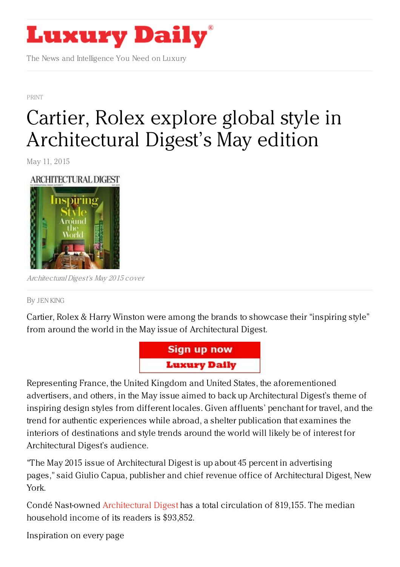

The News and Intelligence You Need on Luxury

[PRINT](https://www.luxurydaily.com/category/news/print/)

## Cartier, Rolex explore global style in [Architectural](https://www.luxurydaily.com/135950/) Digest's May edition

May 11, 2015

## ARCHITECTURAL DIGEST



ArchitecturalDigest's May 2015 cover

## By JEN [KING](/author/jen-king)

Cartier, Rolex & Harry Winston were among the brands to showcase their "inspiring style" from around the world in the May issue of Architectural Digest.



Representing France, the United Kingdom and United States, the aforementioned advertisers, and others, in the May issue aimed to back up Architectural Digest's theme of inspiring design styles from different locales. Given affluents' penchant for travel, and the trend for authentic experiences while abroad, a shelter publication that examines the interiors of destinations and style trends around the world will likely be of interest for Architectural Digest's audience.

"The May 2015 issue of Architectural Digest is up about 45 percent in advertising pages," said Giulio Capua, publisher and chief revenue office of Architectural Digest, New York.

Condé Nast-owned [Architectural](http://www.architecturaldigest.com/) Digest has a total circulation of 819,155. The median household income of its readers is \$93,852.

Inspiration on every page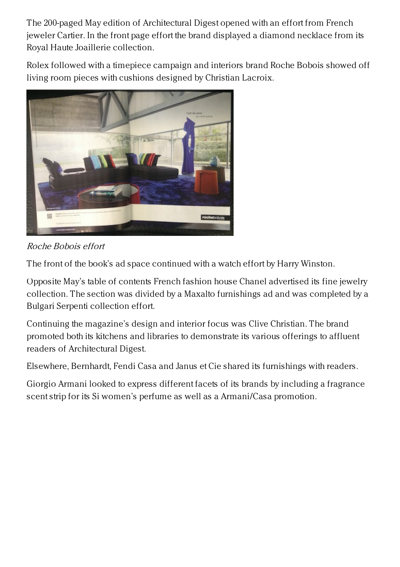The 200-paged May edition of Architectural Digest opened with an effort from French jeweler Cartier. In the front page effort the brand displayed a diamond necklace from its Royal Haute Joaillerie collection.

Rolex followed with a timepiece campaign and interiors brand Roche Bobois showed off living room pieces with cushions designed by Christian Lacroix.



Roche Bobois effort

The front of the book's ad space continued with a watch effort by Harry Winston.

Opposite May's table of contents French fashion house Chanel advertised its fine jewelry collection. The section was divided by a Maxalto furnishings ad and was completed by a Bulgari Serpenti collection effort.

Continuing the magazine's design and interior focus was Clive Christian. The brand promoted both its kitchens and libraries to demonstrate its various offerings to affluent readers of Architectural Digest.

Elsewhere, Bernhardt, Fendi Casa and Janus et Cie shared its furnishings with readers.

Giorgio Armani looked to express different facets of its brands by including a fragrance scent strip for its Si women's perfume as well as a Armani/Casa promotion.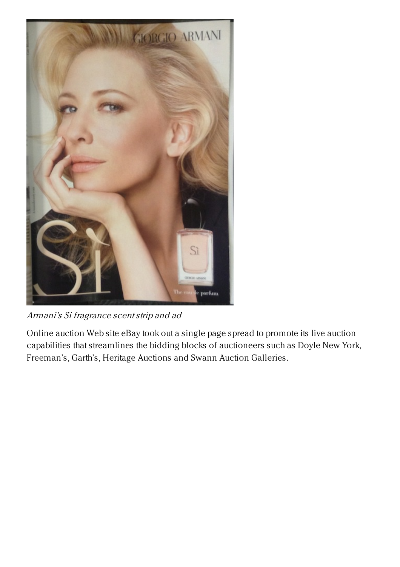

Armani's Si fragrance scentstrip and ad

Online auction Web site eBay took out a single page spread to promote its live auction capabilities that streamlines the bidding blocks of auctioneers such as Doyle New York, Freeman's, Garth's, Heritage Auctions and Swann Auction Galleries.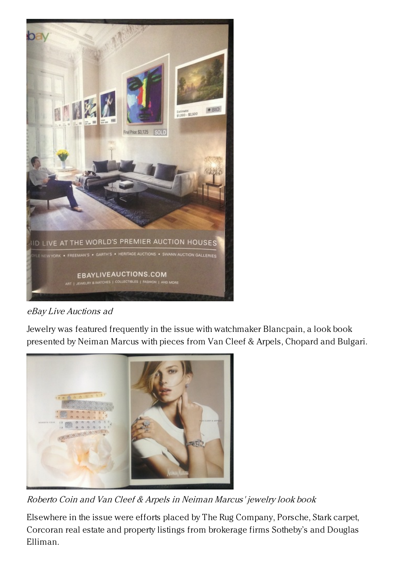

eBay Live Auctions ad

Jewelry was featured frequently in the issue with watchmaker Blancpain, a look book presented by Neiman Marcus with pieces from Van Cleef & Arpels, Chopard and Bulgari.



Roberto Coin and Van Cleef & Arpels in Neiman Marcus' jewelry look book

Elsewhere in the issue were efforts placed by The Rug Company, Porsche, Stark carpet, Corcoran real estate and property listings from brokerage firms Sotheby's and Douglas Elliman.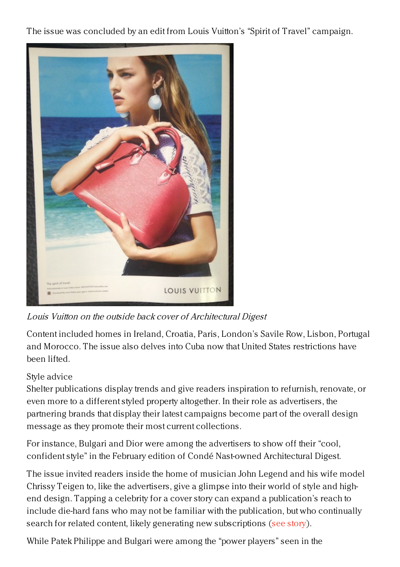The issue was concluded by an edit from Louis Vuitton's "Spirit of Travel" campaign.



Louis Vuitton on the outside back cover of Architectural Digest

Content included homes in Ireland, Croatia, Paris, London's Savile Row, Lisbon, Portugal and Morocco. The issue also delves into Cuba now that United States restrictions have been lifted.

## Style advice

Shelter publications display trends and give readers inspiration to refurnish, renovate, or even more to a different styled property altogether. In their role as advertisers, the partnering brands that display their latest campaigns become part of the overall design message as they promote their most current collections.

For instance, Bulgari and Dior were among the advertisers to show off their "cool, confident style" in the February edition of Condé Nast-owned Architectural Digest.

The issue invited readers inside the home of musician John Legend and his wife model Chrissy Teigen to, like the advertisers, give a glimpse into their world of style and highend design. Tapping a celebrity for a cover story can expand a publication's reach to include die-hard fans who may not be familiar with the publication, but who continually search for related content, likely generating new subscriptions (see [story](https://www.luxurydaily.com/advertisers-exude-style-in-february-edition-of-architectural-digest/)).

While Patek Philippe and Bulgari were among the "power players" seen in the